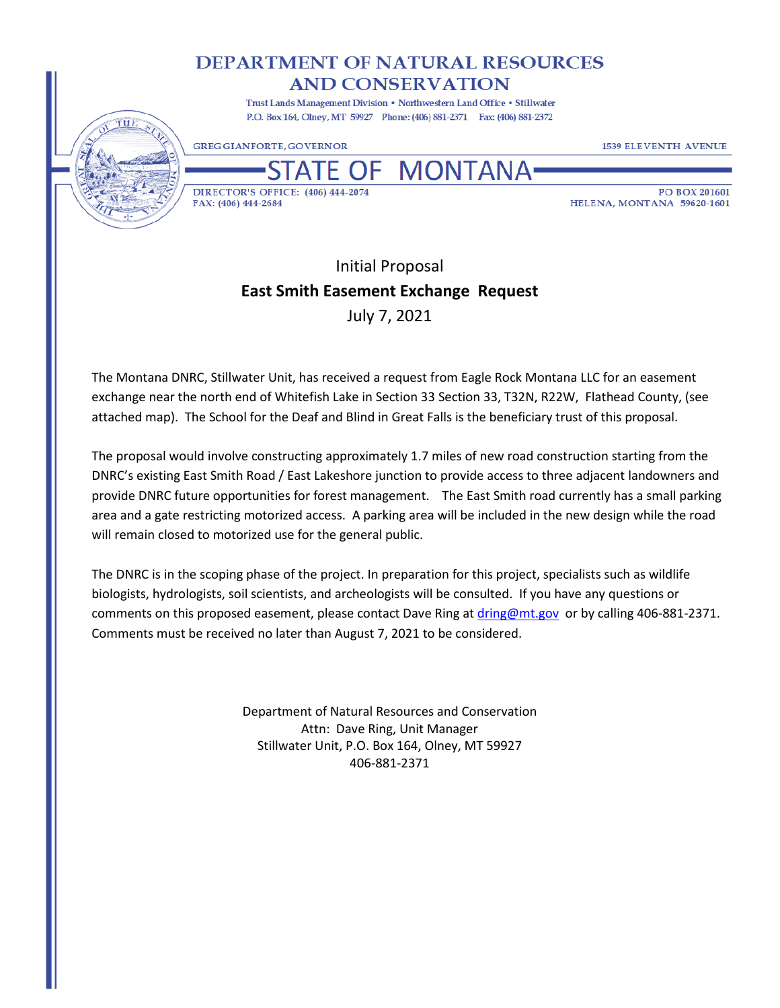

## Initial Proposal **East Smith Easement Exchange Request** July 7, 2021

The Montana DNRC, Stillwater Unit, has received a request from Eagle Rock Montana LLC for an easement exchange near the north end of Whitefish Lake in Section 33 Section 33, T32N, R22W, Flathead County, (see attached map). The School for the Deaf and Blind in Great Falls is the beneficiary trust of this proposal.

The proposal would involve constructing approximately 1.7 miles of new road construction starting from the DNRC's existing East Smith Road / East Lakeshore junction to provide access to three adjacent landowners and provide DNRC future opportunities for forest management. The East Smith road currently has a small parking area and a gate restricting motorized access. A parking area will be included in the new design while the road will remain closed to motorized use for the general public.

The DNRC is in the scoping phase of the project. In preparation for this project, specialists such as wildlife biologists, hydrologists, soil scientists, and archeologists will be consulted. If you have any questions or comments on this proposed easement, please contact Dave Ring at [dring@mt.gov](mailto:dring@mt.gov) or by calling 406-881-2371. Comments must be received no later than August 7, 2021 to be considered.

> Department of Natural Resources and Conservation Attn: Dave Ring, Unit Manager Stillwater Unit, P.O. Box 164, Olney, MT 59927 406-881-2371